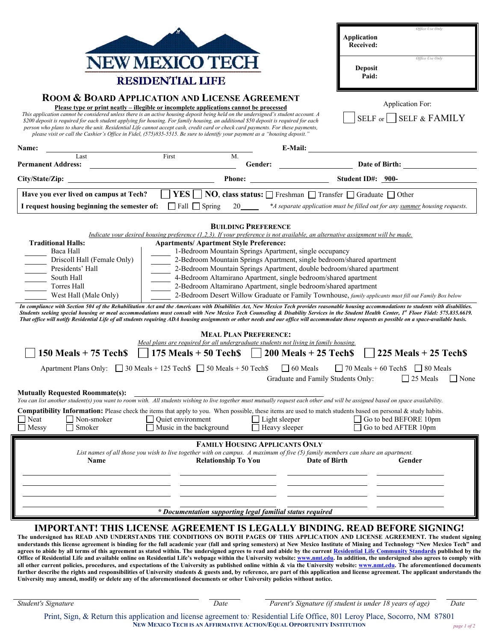|                                                                                                                                                                                                                                                                                                                                                                                                                                                                                                                                                                                                                                                                                                                                                                                                                                                                                                                                                                                                                                                                                                                                                                                                                                                                                                                                                                                                                                                                                                                                                                                                                                                                                                                                                                                                                                                                                                           |                                                                                              | Office Use Only<br><b>Application</b><br>Received:                                                                                                                                                            |
|-----------------------------------------------------------------------------------------------------------------------------------------------------------------------------------------------------------------------------------------------------------------------------------------------------------------------------------------------------------------------------------------------------------------------------------------------------------------------------------------------------------------------------------------------------------------------------------------------------------------------------------------------------------------------------------------------------------------------------------------------------------------------------------------------------------------------------------------------------------------------------------------------------------------------------------------------------------------------------------------------------------------------------------------------------------------------------------------------------------------------------------------------------------------------------------------------------------------------------------------------------------------------------------------------------------------------------------------------------------------------------------------------------------------------------------------------------------------------------------------------------------------------------------------------------------------------------------------------------------------------------------------------------------------------------------------------------------------------------------------------------------------------------------------------------------------------------------------------------------------------------------------------------------|----------------------------------------------------------------------------------------------|---------------------------------------------------------------------------------------------------------------------------------------------------------------------------------------------------------------|
| NEW MEXICO TECI<br><b>RESIDENTIAL LIFE</b>                                                                                                                                                                                                                                                                                                                                                                                                                                                                                                                                                                                                                                                                                                                                                                                                                                                                                                                                                                                                                                                                                                                                                                                                                                                                                                                                                                                                                                                                                                                                                                                                                                                                                                                                                                                                                                                                |                                                                                              | Office Use Only<br><b>Deposit</b><br>Paid:                                                                                                                                                                    |
| <b>ROOM &amp; BOARD APPLICATION AND LICENSE AGREEMENT</b><br>Application For:<br>Please type or print neatly – illegible or incomplete applications cannot be processed<br>This application cannot be considered unless there is an active housing deposit being held on the undersigned's student account. A<br>SELF or SELF & FAMILY<br>\$200 deposit is required for each student applying for housing. For family housing, an additional \$50 deposit is required for each<br>person who plans to share the unit. Residential Life cannot accept cash, credit card or check card payments. For these payments,                                                                                                                                                                                                                                                                                                                                                                                                                                                                                                                                                                                                                                                                                                                                                                                                                                                                                                                                                                                                                                                                                                                                                                                                                                                                                        |                                                                                              |                                                                                                                                                                                                               |
| please visit or call the Cashier's Office in Fidel, (575)835-5515. Be sure to identify your payment as a "housing deposit."                                                                                                                                                                                                                                                                                                                                                                                                                                                                                                                                                                                                                                                                                                                                                                                                                                                                                                                                                                                                                                                                                                                                                                                                                                                                                                                                                                                                                                                                                                                                                                                                                                                                                                                                                                               |                                                                                              |                                                                                                                                                                                                               |
| Name:<br>Last                                                                                                                                                                                                                                                                                                                                                                                                                                                                                                                                                                                                                                                                                                                                                                                                                                                                                                                                                                                                                                                                                                                                                                                                                                                                                                                                                                                                                                                                                                                                                                                                                                                                                                                                                                                                                                                                                             | First<br>M.                                                                                  |                                                                                                                                                                                                               |
|                                                                                                                                                                                                                                                                                                                                                                                                                                                                                                                                                                                                                                                                                                                                                                                                                                                                                                                                                                                                                                                                                                                                                                                                                                                                                                                                                                                                                                                                                                                                                                                                                                                                                                                                                                                                                                                                                                           |                                                                                              | Gender: <u>Date of Birth:</u>                                                                                                                                                                                 |
|                                                                                                                                                                                                                                                                                                                                                                                                                                                                                                                                                                                                                                                                                                                                                                                                                                                                                                                                                                                                                                                                                                                                                                                                                                                                                                                                                                                                                                                                                                                                                                                                                                                                                                                                                                                                                                                                                                           |                                                                                              | Phone: Student ID#: 900-                                                                                                                                                                                      |
| Have you ever lived on campus at Tech? $\Box$ YES $\Box$ NO, class status: $\Box$ Freshman $\Box$ Transfer $\Box$ Graduate $\Box$ Other                                                                                                                                                                                                                                                                                                                                                                                                                                                                                                                                                                                                                                                                                                                                                                                                                                                                                                                                                                                                                                                                                                                                                                                                                                                                                                                                                                                                                                                                                                                                                                                                                                                                                                                                                                   |                                                                                              |                                                                                                                                                                                                               |
| I request housing beginning the semester of: $\Box$ Fall $\Box$ Spring<br>20<br>*A separate application must be filled out for any summer housing requests.                                                                                                                                                                                                                                                                                                                                                                                                                                                                                                                                                                                                                                                                                                                                                                                                                                                                                                                                                                                                                                                                                                                                                                                                                                                                                                                                                                                                                                                                                                                                                                                                                                                                                                                                               |                                                                                              |                                                                                                                                                                                                               |
| <b>BUILDING PREFERENCE</b><br>Indicate your desired housing preference (1,2,3). If your preference is not available, an alternative assignment will be made.<br><b>Apartments/ Apartment Style Preference:</b><br><b>Traditional Halls:</b><br>Baca Hall<br>1-Bedroom Mountain Springs Apartment, single occupancy<br>Driscoll Hall (Female Only)<br>2-Bedroom Mountain Springs Apartment, single bedroom/shared apartment<br>Presidents' Hall<br>2-Bedroom Mountain Springs Apartment, double bedroom/shared apartment<br>4-Bedroom Altamirano Apartment, single bedroom/shared apartment<br>South Hall<br>2-Bedroom Altamirano Apartment, single bedroom/shared apartment<br>Torres Hall<br>2-Bedroom Desert Willow Graduate or Family Townhouse, family applicants must fill out Family Box below<br>West Hall (Male Only)<br>In compliance with Section 504 of the Rehabilitation Act and the Americans with Disabilities Act, New Mexico Tech provides reasonable housing accommodations to students with disabilities.<br>Students seeking special housing or meal accommodations must consult with New Mexico Tech Counseling & Disability Services in the Student Health Center, 1st Floor Fidel: 575.835.6619.<br>That office will notify Residential Life of all students requiring ADA housing assignments or other needs and our office will accommodate those requests as possible on a space-available basis.<br><b>MEAL PLAN PREFERENCE:</b><br>Meal plans are required for all undergraduate students not living in family housing.<br>$\Box$ 175 Meals + 50 Tech\$ $\Box$ 200 Meals + 25 Tech\$<br>150 Meals $+ 75$ Tech $\$<br>$225$ Meals + 25 Tech <sub>S</sub><br>Apartment Plans Only: $\Box$ 30 Meals + 125 Tech $\Box$ 50 Meals + 50 Tech $\Box$ 60 Meals<br>$\Box$ 70 Meals + 60 Tech \$ $\Box$ 80 Meals<br>$\Box$ None<br>Graduate and Family Students Only:<br>$\Box$ 25 Meals |                                                                                              |                                                                                                                                                                                                               |
| <b>Mutually Requested Roommate(s):</b>                                                                                                                                                                                                                                                                                                                                                                                                                                                                                                                                                                                                                                                                                                                                                                                                                                                                                                                                                                                                                                                                                                                                                                                                                                                                                                                                                                                                                                                                                                                                                                                                                                                                                                                                                                                                                                                                    |                                                                                              | You can list another student(s) you want to room with. All students wishing to live together must mutually request each other and will be assigned based on space availability.                               |
| Neat<br>$\Box$ Non-smoker<br>$\Box$ Smoker<br>Messy                                                                                                                                                                                                                                                                                                                                                                                                                                                                                                                                                                                                                                                                                                                                                                                                                                                                                                                                                                                                                                                                                                                                                                                                                                                                                                                                                                                                                                                                                                                                                                                                                                                                                                                                                                                                                                                       | Quiet environment<br>$\Box$ Light sleeper<br>Music in the background<br>$\Box$ Heavy sleeper | Compatibility Information: Please check the items that apply to you. When possible, these items are used to match students based on personal & study habits.<br>Go to bed BEFORE 10pm<br>Go to bed AFTER 10pm |
| <b>FAMILY HOUSING APPLICANTS ONLY</b><br>List names of all those you wish to live together with on campus. A maximum of five (5) family members can share an apartment.<br><b>Relationship To You</b><br>Date of Birth<br>Gender<br><b>Name</b>                                                                                                                                                                                                                                                                                                                                                                                                                                                                                                                                                                                                                                                                                                                                                                                                                                                                                                                                                                                                                                                                                                                                                                                                                                                                                                                                                                                                                                                                                                                                                                                                                                                           |                                                                                              |                                                                                                                                                                                                               |
| * Documentation supporting legal familial status required                                                                                                                                                                                                                                                                                                                                                                                                                                                                                                                                                                                                                                                                                                                                                                                                                                                                                                                                                                                                                                                                                                                                                                                                                                                                                                                                                                                                                                                                                                                                                                                                                                                                                                                                                                                                                                                 |                                                                                              |                                                                                                                                                                                                               |
| <b>IMPORTANT! THIS LICENSE AGREEMENT IS LEGALLY BINDING. READ BEFORE SIGNING!</b>                                                                                                                                                                                                                                                                                                                                                                                                                                                                                                                                                                                                                                                                                                                                                                                                                                                                                                                                                                                                                                                                                                                                                                                                                                                                                                                                                                                                                                                                                                                                                                                                                                                                                                                                                                                                                         |                                                                                              |                                                                                                                                                                                                               |

**The undersigned has READ AND UNDERSTANDS THE CONDITIONS ON BOTH PAGES OF THIS APPLICATION AND LICENSE AGREEMENT. The student signing understands this license agreement is binding for the full academic year (fall and spring semesters) at New Mexico Institute of Mining and Technology "New Mexico Tech" and agrees to abide by all terms of this agreement as stated within. The undersigned agrees to read and abide by the current Residential Life Community Standards published by the**  Office of Residential Life and available online on Residential Life's webpage within the University website: www.nmt.edu. In addition, the undersigned also agrees to comply with all other current policies, procedures, and expectations of the University as published online within & via the University website: www.nmt.edu. The aforementioned documents further describe the rights and responsibilities of University students & guests and, by reference, are part of this application and license agreement. The applicant understands the **University may amend, modify or delete any of the aforementioned documents or other University policies without notice.** 

*Student's Signature Date Parent's Signature (if student is under 18 years of age) Date*

Print, Sign, & Return this application and license agreement to*:* Residential Life Office, 801 Leroy Place, Socorro, NM 87801 **NEW MEXICO TECH IS AN AFFIRMATIVE ACTION/EQUAL OPPORTUNITY INSTITUTION** *page 1 of 2*